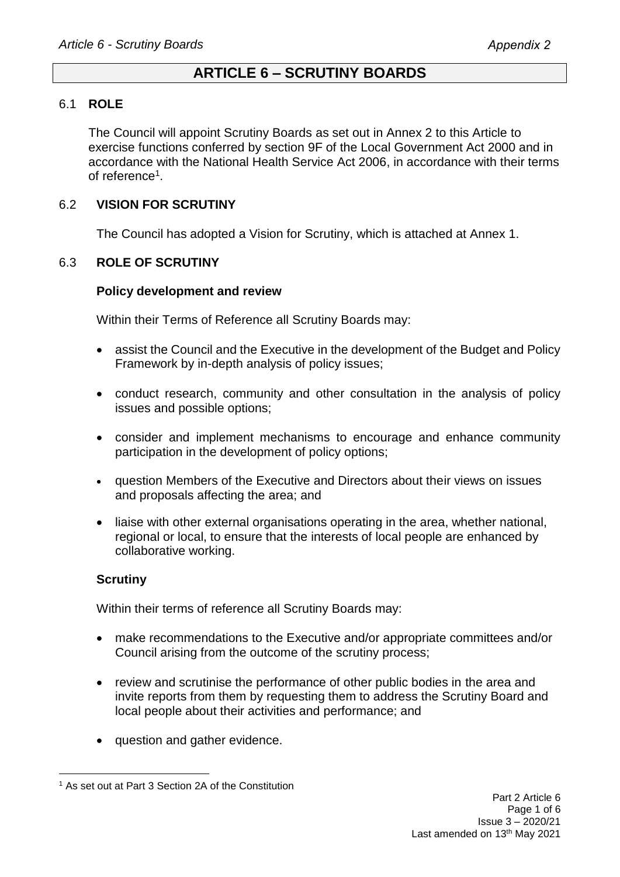# **ARTICLE 6 – SCRUTINY BOARDS**

### 6.1 **ROLE**

The Council will appoint Scrutiny Boards as set out in Annex 2 to this Article to exercise functions conferred by section 9F of the Local Government Act 2000 and in accordance with the National Health Service Act 2006, in accordance with their terms of reference<sup>1</sup>.

## 6.2 **VISION FOR SCRUTINY**

The Council has adopted a Vision for Scrutiny, which is attached at Annex 1.

### 6.3 **ROLE OF SCRUTINY**

#### **Policy development and review**

Within their Terms of Reference all Scrutiny Boards may:

- assist the Council and the Executive in the development of the Budget and Policy Framework by in-depth analysis of policy issues;
- conduct research, community and other consultation in the analysis of policy issues and possible options;
- consider and implement mechanisms to encourage and enhance community participation in the development of policy options;
- question Members of the Executive and Directors about their views on issues and proposals affecting the area; and
- liaise with other external organisations operating in the area, whether national, regional or local, to ensure that the interests of local people are enhanced by collaborative working.

### **Scrutiny**

Within their terms of reference all Scrutiny Boards may:

- make recommendations to the Executive and/or appropriate committees and/or Council arising from the outcome of the scrutiny process;
- review and scrutinise the performance of other public bodies in the area and invite reports from them by requesting them to address the Scrutiny Board and local people about their activities and performance; and
- question and gather evidence.

<sup>1</sup> As set out at Part 3 Section 2A of the Constitution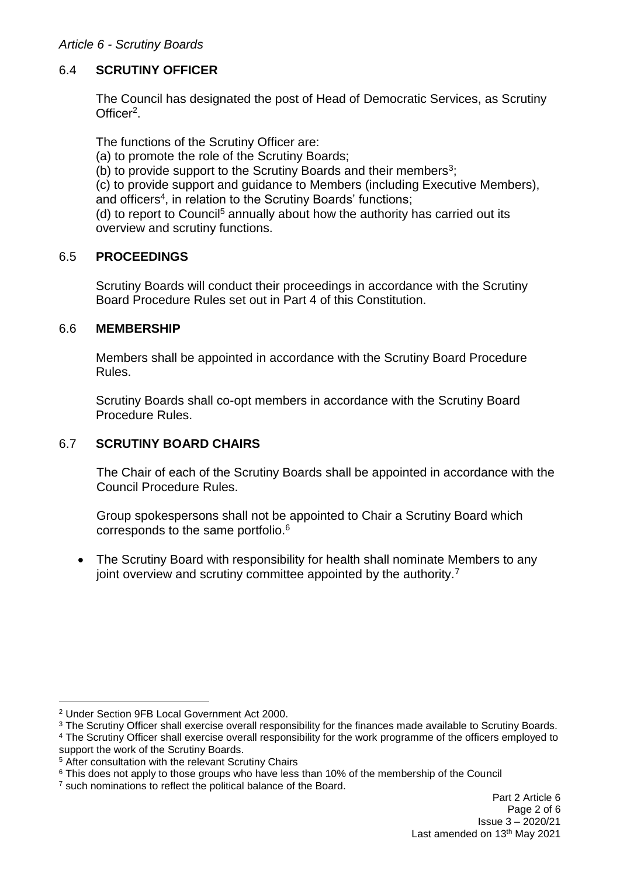### *Article 6 - Scrutiny Boards*

## 6.4 **SCRUTINY OFFICER**

The Council has designated the post of Head of Democratic Services, as Scrutiny Officer<sup>2</sup>.

The functions of the Scrutiny Officer are:

- (a) to promote the role of the Scrutiny Boards;
- (b) to provide support to the Scrutiny Boards and their members<sup>3</sup>;

(c) to provide support and guidance to Members (including Executive Members), and officers<sup>4</sup>, in relation to the Scrutiny Boards' functions;

(d) to report to Council<sup>5</sup> annually about how the authority has carried out its overview and scrutiny functions.

### 6.5 **PROCEEDINGS**

Scrutiny Boards will conduct their proceedings in accordance with the Scrutiny Board Procedure Rules set out in Part 4 of this Constitution.

### 6.6 **MEMBERSHIP**

Members shall be appointed in accordance with the Scrutiny Board Procedure Rules.

Scrutiny Boards shall co-opt members in accordance with the Scrutiny Board Procedure Rules.

# 6.7 **SCRUTINY BOARD CHAIRS**

The Chair of each of the Scrutiny Boards shall be appointed in accordance with the Council Procedure Rules.

Group spokespersons shall not be appointed to Chair a Scrutiny Board which corresponds to the same portfolio.<sup>6</sup>

• The Scrutiny Board with responsibility for health shall nominate Members to any joint overview and scrutiny committee appointed by the authority.<sup>7</sup>

1

<sup>2</sup> Under Section 9FB Local Government Act 2000.

<sup>&</sup>lt;sup>3</sup> The Scrutiny Officer shall exercise overall responsibility for the finances made available to Scrutiny Boards.

<sup>4</sup> The Scrutiny Officer shall exercise overall responsibility for the work programme of the officers employed to support the work of the Scrutiny Boards.

<sup>5</sup> After consultation with the relevant Scrutiny Chairs

<sup>&</sup>lt;sup>6</sup> This does not apply to those groups who have less than 10% of the membership of the Council

<sup>7</sup> such nominations to reflect the political balance of the Board.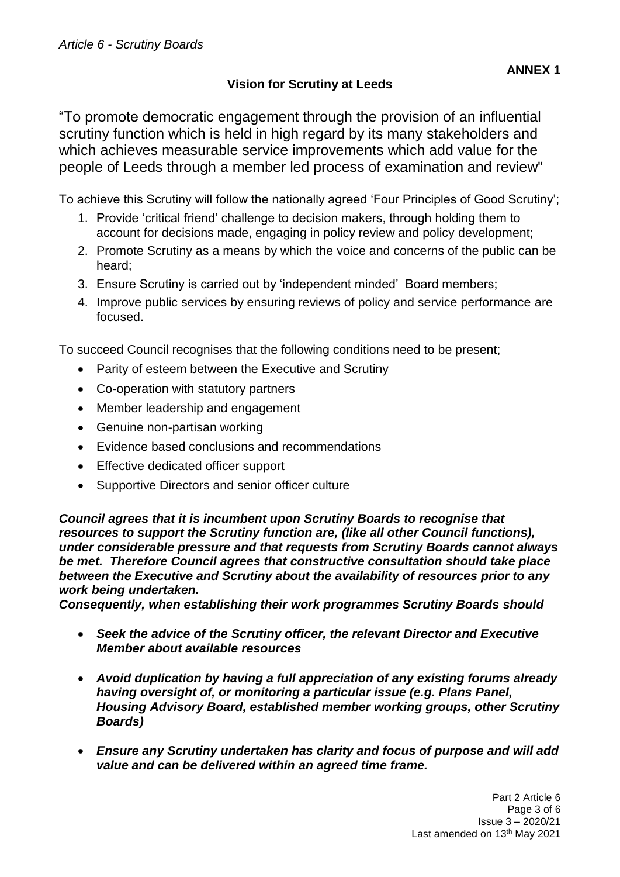# **Vision for Scrutiny at Leeds**

To achieve this Scrutiny will follow the nationally agreed 'Four Principles of Good Scrutiny';

- 1. Provide 'critical friend' challenge to decision makers, through holding them to account for decisions made, engaging in policy review and policy development;
- 2. Promote Scrutiny as a means by which the voice and concerns of the public can be heard;
- 3. Ensure Scrutiny is carried out by 'independent minded' Board members;
- 4. Improve public services by ensuring reviews of policy and service performance are focused.

To succeed Council recognises that the following conditions need to be present;

- Parity of esteem between the Executive and Scrutiny
- Co-operation with statutory partners
- Member leadership and engagement
- Genuine non-partisan working
- Evidence based conclusions and recommendations
- Effective dedicated officer support
- Supportive Directors and senior officer culture

*Council agrees that it is incumbent upon Scrutiny Boards to recognise that resources to support the Scrutiny function are, (like all other Council functions), under considerable pressure and that requests from Scrutiny Boards cannot always be met. Therefore Council agrees that constructive consultation should take place between the Executive and Scrutiny about the availability of resources prior to any work being undertaken.* 

*Consequently, when establishing their work programmes Scrutiny Boards should*

- *Seek the advice of the Scrutiny officer, the relevant Director and Executive Member about available resources*
- *Avoid duplication by having a full appreciation of any existing forums already having oversight of, or monitoring a particular issue (e.g. Plans Panel, Housing Advisory Board, established member working groups, other Scrutiny Boards)*
- *Ensure any Scrutiny undertaken has clarity and focus of purpose and will add value and can be delivered within an agreed time frame.*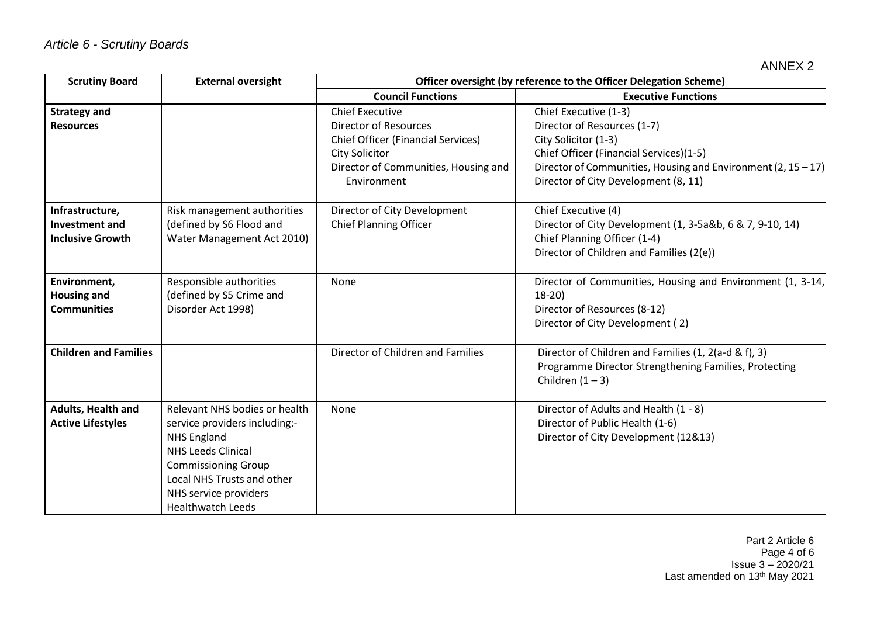| <b>Scrutiny Board</b>                                               | <b>External oversight</b>                                                                                                                                                                                                          | Officer oversight (by reference to the Officer Delegation Scheme)                                                                                                                   |                                                                                                                                                                                                                                     |
|---------------------------------------------------------------------|------------------------------------------------------------------------------------------------------------------------------------------------------------------------------------------------------------------------------------|-------------------------------------------------------------------------------------------------------------------------------------------------------------------------------------|-------------------------------------------------------------------------------------------------------------------------------------------------------------------------------------------------------------------------------------|
|                                                                     |                                                                                                                                                                                                                                    | <b>Council Functions</b>                                                                                                                                                            | <b>Executive Functions</b>                                                                                                                                                                                                          |
| <b>Strategy and</b><br><b>Resources</b>                             |                                                                                                                                                                                                                                    | <b>Chief Executive</b><br><b>Director of Resources</b><br><b>Chief Officer (Financial Services)</b><br><b>City Solicitor</b><br>Director of Communities, Housing and<br>Environment | Chief Executive (1-3)<br>Director of Resources (1-7)<br>City Solicitor (1-3)<br>Chief Officer (Financial Services)(1-5)<br>Director of Communities, Housing and Environment (2, $15 - 17$ )<br>Director of City Development (8, 11) |
| Infrastructure,<br><b>Investment and</b><br><b>Inclusive Growth</b> | Risk management authorities<br>(defined by S6 Flood and<br>Water Management Act 2010)                                                                                                                                              | Director of City Development<br><b>Chief Planning Officer</b>                                                                                                                       | Chief Executive (4)<br>Director of City Development (1, 3-5a&b, 6 & 7, 9-10, 14)<br>Chief Planning Officer (1-4)<br>Director of Children and Families (2(e))                                                                        |
| Environment,<br><b>Housing and</b><br><b>Communities</b>            | Responsible authorities<br>(defined by S5 Crime and<br>Disorder Act 1998)                                                                                                                                                          | None                                                                                                                                                                                | Director of Communities, Housing and Environment (1, 3-14,<br>$18-20$<br>Director of Resources (8-12)<br>Director of City Development (2)                                                                                           |
| <b>Children and Families</b>                                        |                                                                                                                                                                                                                                    | Director of Children and Families                                                                                                                                                   | Director of Children and Families (1, 2(a-d & f), 3)<br>Programme Director Strengthening Families, Protecting<br>Children $(1 - 3)$                                                                                                 |
| Adults, Health and<br><b>Active Lifestyles</b>                      | Relevant NHS bodies or health<br>service providers including:-<br><b>NHS England</b><br><b>NHS Leeds Clinical</b><br><b>Commissioning Group</b><br>Local NHS Trusts and other<br>NHS service providers<br><b>Healthwatch Leeds</b> | None                                                                                                                                                                                | Director of Adults and Health (1 - 8)<br>Director of Public Health (1-6)<br>Director of City Development (12&13)                                                                                                                    |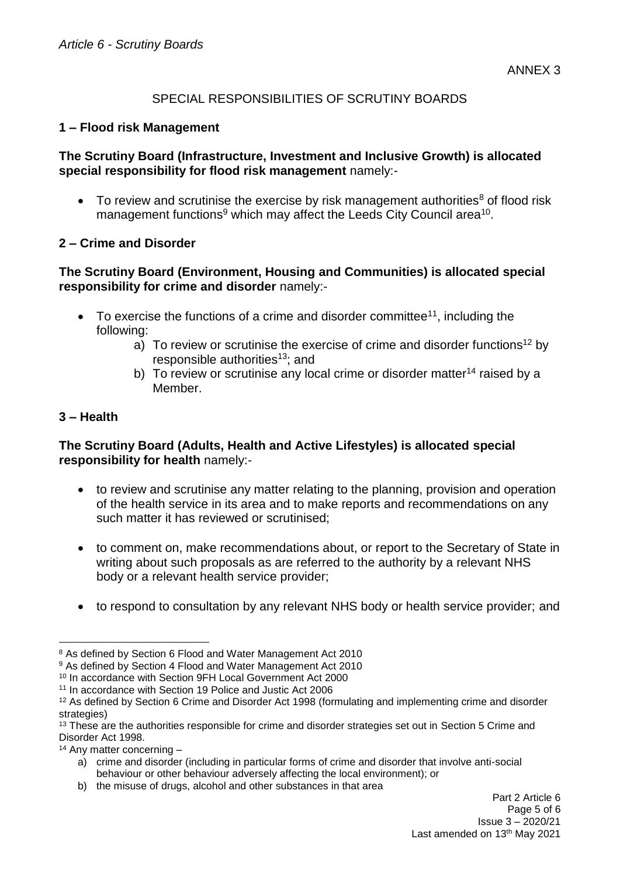## SPECIAL RESPONSIBILITIES OF SCRUTINY BOARDS

### **1 – Flood risk Management**

### **The Scrutiny Board (Infrastructure, Investment and Inclusive Growth) is allocated special responsibility for flood risk management** namely:-

 $\bullet$  To review and scrutinise the exercise by risk management authorities<sup>8</sup> of flood risk management functions<sup>9</sup> which may affect the Leeds City Council area<sup>10</sup>.

## **2 – Crime and Disorder**

## **The Scrutiny Board (Environment, Housing and Communities) is allocated special responsibility for crime and disorder** namely:-

- $\bullet$  To exercise the functions of a crime and disorder committee<sup>11</sup>, including the following:
	- a) To review or scrutinise the exercise of crime and disorder functions<sup>12</sup> by responsible authorities<sup>13</sup>; and
	- b) To review or scrutinise any local crime or disorder matter<sup>14</sup> raised by a Member.

## **3 – Health**

1

## **The Scrutiny Board (Adults, Health and Active Lifestyles) is allocated special responsibility for health** namely:-

- to review and scrutinise any matter relating to the planning, provision and operation of the health service in its area and to make reports and recommendations on any such matter it has reviewed or scrutinised;
- to comment on, make recommendations about, or report to the Secretary of State in writing about such proposals as are referred to the authority by a relevant NHS body or a relevant health service provider;
- to respond to consultation by any relevant NHS body or health service provider; and

b) the misuse of drugs, alcohol and other substances in that area

<sup>8</sup> As defined by Section 6 Flood and Water Management Act 2010

<sup>&</sup>lt;sup>9</sup> As defined by Section 4 Flood and Water Management Act 2010

<sup>10</sup> In accordance with Section 9FH Local Government Act 2000

<sup>11</sup> In accordance with Section 19 Police and Justic Act 2006

<sup>12</sup> As defined by Section 6 Crime and Disorder Act 1998 (formulating and implementing crime and disorder strategies)

<sup>&</sup>lt;sup>13</sup> These are the authorities responsible for crime and disorder strategies set out in Section 5 Crime and Disorder Act 1998.

<sup>14</sup> Any matter concerning –

a) crime and disorder (including in particular forms of crime and disorder that involve anti-social behaviour or other behaviour adversely affecting the local environment); or